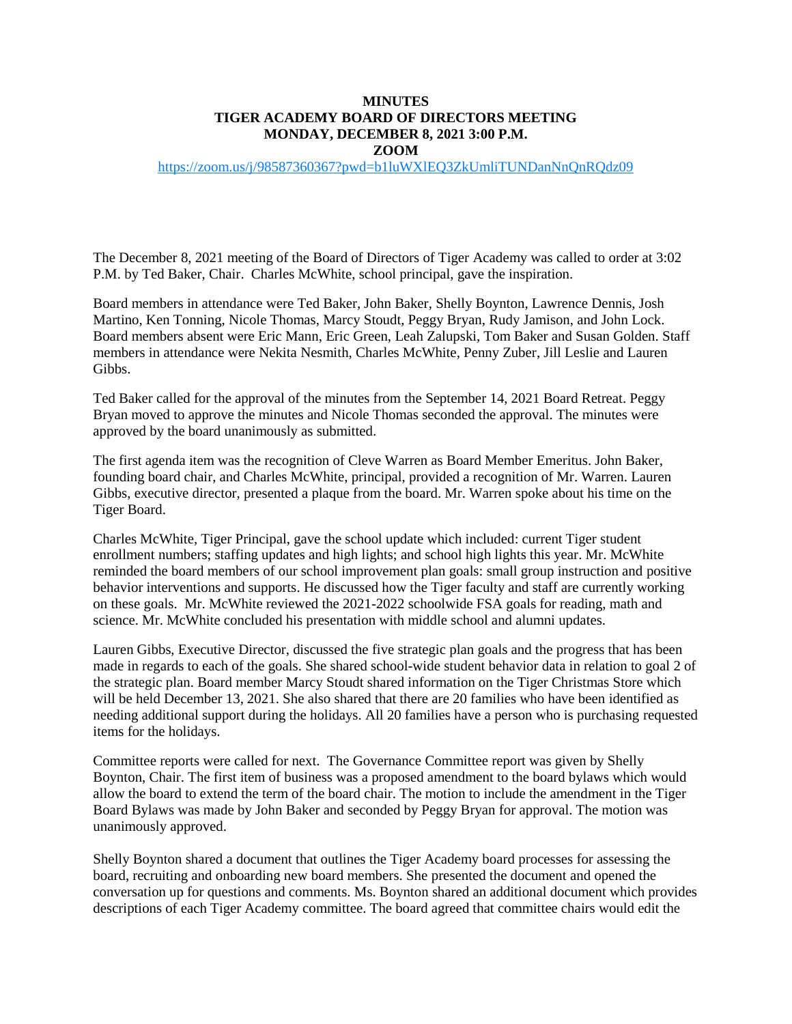## **MINUTES TIGER ACADEMY BOARD OF DIRECTORS MEETING MONDAY, DECEMBER 8, 2021 3:00 P.M.**

## **ZOOM**

## <https://zoom.us/j/98587360367?pwd=b1luWXlEQ3ZkUmliTUNDanNnQnRQdz09>

The December 8, 2021 meeting of the Board of Directors of Tiger Academy was called to order at 3:02 P.M. by Ted Baker, Chair. Charles McWhite, school principal, gave the inspiration.

Board members in attendance were Ted Baker, John Baker, Shelly Boynton, Lawrence Dennis, Josh Martino, Ken Tonning, Nicole Thomas, Marcy Stoudt, Peggy Bryan, Rudy Jamison, and John Lock. Board members absent were Eric Mann, Eric Green, Leah Zalupski, Tom Baker and Susan Golden. Staff members in attendance were Nekita Nesmith, Charles McWhite, Penny Zuber, Jill Leslie and Lauren Gibbs.

Ted Baker called for the approval of the minutes from the September 14, 2021 Board Retreat. Peggy Bryan moved to approve the minutes and Nicole Thomas seconded the approval. The minutes were approved by the board unanimously as submitted.

The first agenda item was the recognition of Cleve Warren as Board Member Emeritus. John Baker, founding board chair, and Charles McWhite, principal, provided a recognition of Mr. Warren. Lauren Gibbs, executive director, presented a plaque from the board. Mr. Warren spoke about his time on the Tiger Board.

Charles McWhite, Tiger Principal, gave the school update which included: current Tiger student enrollment numbers; staffing updates and high lights; and school high lights this year. Mr. McWhite reminded the board members of our school improvement plan goals: small group instruction and positive behavior interventions and supports. He discussed how the Tiger faculty and staff are currently working on these goals. Mr. McWhite reviewed the 2021-2022 schoolwide FSA goals for reading, math and science. Mr. McWhite concluded his presentation with middle school and alumni updates.

Lauren Gibbs, Executive Director, discussed the five strategic plan goals and the progress that has been made in regards to each of the goals. She shared school-wide student behavior data in relation to goal 2 of the strategic plan. Board member Marcy Stoudt shared information on the Tiger Christmas Store which will be held December 13, 2021. She also shared that there are 20 families who have been identified as needing additional support during the holidays. All 20 families have a person who is purchasing requested items for the holidays.

Committee reports were called for next. The Governance Committee report was given by Shelly Boynton, Chair. The first item of business was a proposed amendment to the board bylaws which would allow the board to extend the term of the board chair. The motion to include the amendment in the Tiger Board Bylaws was made by John Baker and seconded by Peggy Bryan for approval. The motion was unanimously approved.

Shelly Boynton shared a document that outlines the Tiger Academy board processes for assessing the board, recruiting and onboarding new board members. She presented the document and opened the conversation up for questions and comments. Ms. Boynton shared an additional document which provides descriptions of each Tiger Academy committee. The board agreed that committee chairs would edit the